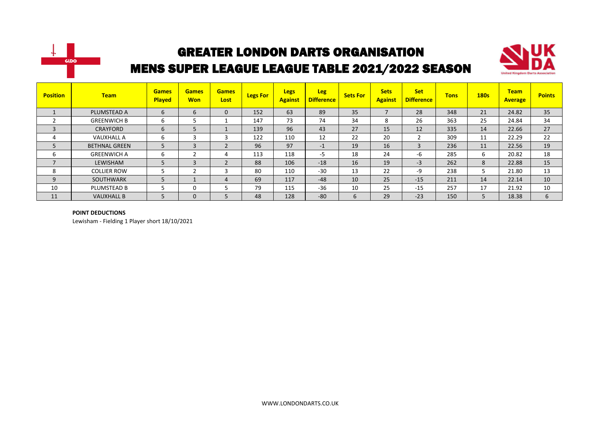



| <b>Position</b>          | <b>Team</b>          | <b>Games</b><br><b>Played</b> | <b>Games</b><br><b>Won</b> | <b>Games</b><br>Lost | <b>Legs For</b> | <b>Legs</b><br><b>Against</b> | <b>Leg</b><br><b>Difference</b> | <b>Sets For</b> | <b>Sets</b><br><b>Against</b> | <b>Set</b><br><b>Difference</b> | <b>Tons</b> | <b>180s</b> | <b>Team</b><br><b>Average</b> | <b>Points</b> |
|--------------------------|----------------------|-------------------------------|----------------------------|----------------------|-----------------|-------------------------------|---------------------------------|-----------------|-------------------------------|---------------------------------|-------------|-------------|-------------------------------|---------------|
|                          | PLUMSTEAD A          | 6                             | 6                          | 0                    | 152             | 63                            | 89                              | 35              |                               | 28                              | 348         | 21          | 24.82                         | 35            |
|                          | <b>GREENWICH B</b>   | b                             | 5                          |                      | 147             | 73                            | 74                              | 34              | 8                             | 26                              | 363         | 25          | 24.84                         | 34            |
| $\overline{3}$           | CRAYFORD             | b                             | 5                          |                      | 139             | 96                            | 43                              | 27              | 15                            | 12                              | 335         | 14          | 22.66                         | 27            |
| 4                        | <b>VAUXHALL A</b>    | b                             | 3                          |                      | 122             | 110                           | 12                              | 22              | 20                            |                                 | 309         | 11          | 22.29                         | 22            |
| 5                        | <b>BETHNAL GREEN</b> | 5                             | 3                          |                      | 96              | 97                            | $-1$                            | 19              | 16                            | 3                               | 236         | 11          | 22.56                         | 19            |
| ь                        | <b>GREENWICH A</b>   | ь                             | C                          | 4                    | 113             | 118                           | -5                              | 18              | 24                            | -6                              | 285         | 6           | 20.82                         | 18            |
| $\overline{\phantom{a}}$ | LEWISHAM             |                               | 3                          |                      | 88              | 106                           | $-18$                           | 16              | 19                            | $-3$                            | 262         | 8           | 22.88                         | 15            |
| 8                        | <b>COLLIER ROW</b>   |                               | h                          |                      | 80              | 110                           | $-30$                           | 13              | 22                            | -9                              | 238         | ∍           | 21.80                         | 13            |
| 9                        | <b>SOUTHWARK</b>     |                               |                            | 4                    | 69              | 117                           | $-48$                           | 10              | 25                            | $-15$                           | 211         | 14          | 22.14                         | 10            |
| 10                       | PLUMSTEAD B          |                               | 0                          |                      | 79              | 115                           | $-36$                           | 10              | 25                            | $-15$                           | 257         | 17          | 21.92                         | 10            |
| 11                       | <b>VAUXHALL B</b>    |                               | $\mathbf 0$                |                      | 48              | 128                           | $-80$                           | 6               | 29                            | $-23$                           | 150         | 5           | 18.38                         | 6             |

#### **POINT DEDUCTIONS**

Lewisham - Fielding 1 Player short 18/10/2021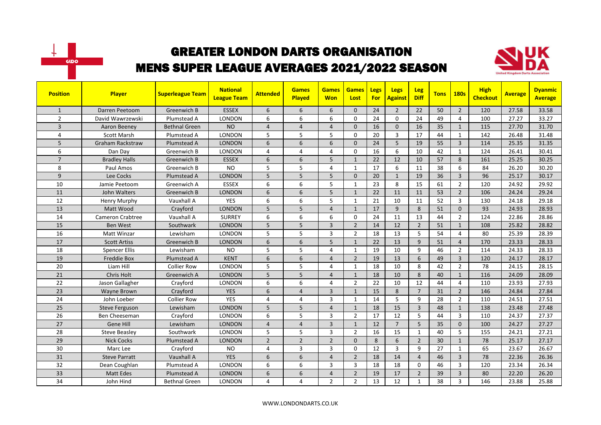



| <b>Position</b> | Player                  | <b>Superleague Team</b> | <b>National</b><br><b>League Team</b> | <b>Attended</b> | <b>Games</b><br><b>Played</b> | <b>Games</b><br><b>Won</b> | <b>Games</b><br>Lost | Legs<br><b>For</b> | <b>Legs</b><br><b>Against</b> | <b>Leg</b><br><b>Diff</b> | <b>Tons</b> | <b>180s</b>    | <b>High</b><br><b>Checkout</b> | <b>Average</b> | <b>Dyanmic</b><br><b>Average</b> |
|-----------------|-------------------------|-------------------------|---------------------------------------|-----------------|-------------------------------|----------------------------|----------------------|--------------------|-------------------------------|---------------------------|-------------|----------------|--------------------------------|----------------|----------------------------------|
| $\mathbf{1}$    | Darren Peetoom          | Greenwich B             | <b>ESSEX</b>                          | 6               | 6                             | 6                          | $\Omega$             | 24                 | $\overline{2}$                | 22                        | 50          | $\overline{2}$ | 120                            | 27.58          | 33.58                            |
| $\overline{2}$  | David Wawrzewski        | Plumstead A             | <b>LONDON</b>                         | 6               | 6                             | 6                          | $\mathbf{0}$         | 24                 | $\Omega$                      | 24                        | 49          | 4              | 100                            | 27.27          | 33.27                            |
| 3               | Aaron Beeney            | <b>Bethnal Green</b>    | <b>NO</b>                             | $\overline{4}$  | $\overline{4}$                | $\overline{4}$             | $\mathbf{0}$         | 16                 | $\mathbf{0}$                  | 16                        | 35          | $\mathbf{1}$   | 115                            | 27.70          | 31.70                            |
| 4               | <b>Scott Marsh</b>      | Plumstead A             | LONDON                                | 5               | 5                             | 5                          | $\mathbf{0}$         | 20                 | 3                             | 17                        | 44          | $\mathbf{1}$   | 142                            | 26.48          | 31.48                            |
| 5               | <b>Graham Rackstraw</b> | Plumstead A             | <b>LONDON</b>                         | 6               | 6                             | 6                          | $\Omega$             | 24                 | 5                             | 19                        | 55          | $\overline{3}$ | 114                            | 25.35          | 31.35                            |
| 6               | Dan Day                 | Greenwich B             | <b>LONDON</b>                         | 4               | $\overline{4}$                | 4                          | $\mathbf{0}$         | 16                 | 6                             | 10                        | 42          | $\mathbf{1}$   | 124                            | 26.41          | 30.41                            |
| $\overline{7}$  | <b>Bradley Halls</b>    | Greenwich B             | <b>ESSEX</b>                          | 6               | 6                             | 5                          | $\mathbf{1}$         | 22                 | 12                            | 10                        | 57          | 8              | 161                            | 25.25          | 30.25                            |
| 8               | Paul Amos               | Greenwich B             | <b>NO</b>                             | 5               | 5                             | 4                          | $\mathbf{1}$         | 17                 | 6                             | 11                        | 38          | 6              | 84                             | 26.20          | 30.20                            |
| 9               | Lee Cocks               | Plumstead A             | <b>LONDON</b>                         | 5               | 5                             | 5                          | $\Omega$             | 20                 | $\mathbf{1}$                  | 19                        | 36          | $\overline{3}$ | 96                             | 25.17          | 30.17                            |
| 10              | Jamie Peetoom           | Greenwich A             | <b>ESSEX</b>                          | 6               | 6                             | 5                          | $\mathbf{1}$         | 23                 | 8                             | 15                        | 61          | $\overline{2}$ | 120                            | 24.92          | 29.92                            |
| 11              | John Walters            | Greenwich B             | <b>LONDON</b>                         | 6               | 6                             | 5                          | $\mathbf{1}$         | 22                 | 11                            | 11                        | 53          | $\overline{2}$ | 106                            | 24.24          | 29.24                            |
| 12              | Henry Murphy            | Vauxhall A              | <b>YES</b>                            | 6               | 6                             | 5                          | $\mathbf{1}$         | 21                 | 10                            | 11                        | 52          | 3              | 130                            | 24.18          | 29.18                            |
| 13              | Matt Wood               | Crayford                | <b>LONDON</b>                         | 5               | 5                             | $\overline{4}$             | $\mathbf{1}$         | 17                 | 9                             | 8                         | 51          | $\Omega$       | 93                             | 24.93          | 28.93                            |
| 14              | Cameron Crabtree        | Vauxhall A              | <b>SURREY</b>                         | 6               | 6                             | 6                          | $\Omega$             | 24                 | 11                            | 13                        | 44          | $\overline{2}$ | 124                            | 22.86          | 28.86                            |
| 15              | <b>Ben West</b>         | Southwark               | <b>LONDON</b>                         | 5               | 5                             | $\overline{3}$             | $\overline{2}$       | 14                 | 12                            | $\overline{2}$            | 51          | $\mathbf{1}$   | 108                            | 25.82          | 28.82                            |
| 16              | <b>Matt Winzar</b>      | Lewisham                | <b>LONDON</b>                         | 5               | 5                             | 3                          | $\overline{2}$       | 18                 | 13                            | 5                         | 54          | $\overline{4}$ | 80                             | 25.39          | 28.39                            |
| 17              | <b>Scott Artiss</b>     | Greenwich B             | <b>LONDON</b>                         | 6               | 6                             | 5                          | $\mathbf{1}$         | 22                 | 13                            | 9                         | 51          | $\overline{4}$ | 170                            | 23.33          | 28.33                            |
| 18              | <b>Spencer Ellis</b>    | Lewisham                | <b>NO</b>                             | 5               | 5                             | 4                          | $\mathbf{1}$         | 19                 | 10                            | 9                         | 46          | $\overline{2}$ | 114                            | 24.33          | 28.33                            |
| 19              | <b>Freddie Box</b>      | Plumstead A             | <b>KENT</b>                           | 6               | 6                             | $\overline{4}$             | $\overline{2}$       | 19                 | 13                            | 6                         | 49          | $\overline{3}$ | 120                            | 24.17          | 28.17                            |
| 20              | Liam Hill               | <b>Collier Row</b>      | LONDON                                | 5               | 5                             | 4                          | $\mathbf{1}$         | 18                 | 10                            | 8                         | 42          | $\overline{2}$ | 78                             | 24.15          | 28.15                            |
| 21              | Chris Holt              | Greenwich A             | <b>LONDON</b>                         | 5               | 5                             | 4                          | $\mathbf{1}$         | 18                 | 10                            | 8                         | 40          | $\mathbf{1}$   | 116                            | 24.09          | 28.09                            |
| 22              | Jason Gallagher         | Crayford                | <b>LONDON</b>                         | 6               | 6                             | 4                          | $\overline{2}$       | 22                 | 10                            | 12                        | 44          | $\overline{4}$ | 110                            | 23.93          | 27.93                            |
| 23              | <b>Wavne Brown</b>      | Cravford                | <b>YES</b>                            | 6               | $\overline{4}$                | 3                          | $\mathbf{1}$         | 15                 | 8                             | $\overline{7}$            | 31          | $\overline{2}$ | 146                            | 24.84          | 27.84                            |
| 24              | John Loeber             | <b>Collier Row</b>      | <b>YES</b>                            | 4               | $\overline{4}$                | 3                          | 1                    | 14                 | 5                             | 9                         | 28          | $\overline{2}$ | 110                            | 24.51          | 27.51                            |
| 25              | <b>Steve Ferguson</b>   | Lewisham                | <b>LONDON</b>                         | 5               | 5                             | $\overline{4}$             | $\mathbf{1}$         | 18                 | 15                            | $\overline{3}$            | 48          | $\mathbf{1}$   | 138                            | 23.48          | 27.48                            |
| 26              | Ben Cheeseman           | Crayford                | <b>LONDON</b>                         | 6               | 5                             | 3                          | $\overline{2}$       | 17                 | 12                            | 5                         | 44          | 3              | 110                            | 24.37          | 27.37                            |
| 27              | Gene Hill               | Lewisham                | <b>LONDON</b>                         | $\overline{4}$  | $\overline{4}$                | 3                          | $\mathbf{1}$         | 12                 | $\overline{7}$                | 5                         | 35          | $\mathbf{0}$   | 100                            | 24.27          | 27.27                            |
| 28              | <b>Steve Beasley</b>    | Southwark               | LONDON                                | 5               | 5                             | 3                          | $\overline{2}$       | 16                 | 15                            | $\mathbf{1}$              | 40          | 5              | 155                            | 24.21          | 27.21                            |
| 29              | <b>Nick Cocks</b>       | Plumstead A             | <b>LONDON</b>                         | $\overline{2}$  | $\overline{2}$                | $\overline{2}$             | $\Omega$             | 8                  | 6                             | $\overline{2}$            | 30          | $\mathbf{1}$   | 78                             | 25.17          | 27.17                            |
| 30              | Marc Lee                | Crayford                | <b>NO</b>                             | 4               | $\overline{3}$                | 3                          | $\Omega$             | 12                 | 3                             | 9                         | 27          | $\mathbf{1}$   | 65                             | 23.67          | 26.67                            |
| 31              | <b>Steve Parratt</b>    | Vauxhall A              | <b>YES</b>                            | 6               | 6                             | $\overline{4}$             | $\overline{2}$       | 18                 | 14                            | $\overline{4}$            | 46          | $\overline{3}$ | 78                             | 22.36          | 26.36                            |
| 32              | Dean Coughlan           | Plumstead A             | LONDON                                | 6               | 6                             | 3                          | 3                    | 18                 | 18                            | 0                         | 46          | 3              | 120                            | 23.34          | 26.34                            |
| 33              | <b>Matt Edes</b>        | Plumstead A             | <b>LONDON</b>                         | 6               | 6                             | $\overline{4}$             | $\overline{2}$       | 19                 | 17                            | $\overline{2}$            | 39          | $\overline{3}$ | 80                             | 22.20          | 26.20                            |
| 34              | John Hind               | <b>Bethnal Green</b>    | LONDON                                | 4               | $\overline{a}$                | $\overline{2}$             | $\overline{2}$       | 13                 | 12                            | $\mathbf{1}$              | 38          | $\overline{3}$ | 146                            | 23.88          | 25.88                            |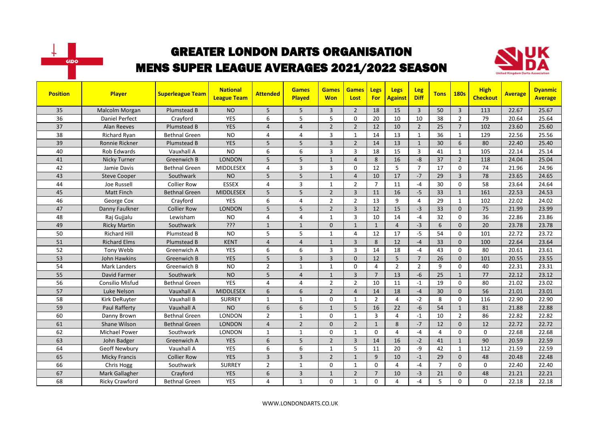



| <b>Position</b> | Player                | <b>Superleague Team</b> | <b>National</b><br><b>League Team</b> | <b>Attended</b> | <b>Games</b><br>Played | <b>Games</b><br><b>Won</b> | <b>Games</b><br>Lost | Legs<br><b>For</b> | <b>Legs</b><br><b>Against</b> | <b>Leg</b><br><b>Diff</b> | <b>Tons</b>    | <b>180s</b>    | <b>High</b><br><b>Checkout</b> | <b>Average</b> | <b>Dyanmic</b><br><b>Average</b> |
|-----------------|-----------------------|-------------------------|---------------------------------------|-----------------|------------------------|----------------------------|----------------------|--------------------|-------------------------------|---------------------------|----------------|----------------|--------------------------------|----------------|----------------------------------|
| 35              | Malcolm Morgan        | Plumstead B             | <b>NO</b>                             | 5               | 5                      | 3                          | $\overline{2}$       | 18                 | 15                            | $\overline{3}$            | 50             | $\overline{3}$ | 113                            | 22.67          | 25.67                            |
| 36              | <b>Daniel Perfect</b> | Crayford                | <b>YES</b>                            | 6               | 5                      | 5                          | $\Omega$             | 20                 | 10                            | 10                        | 38             | $\overline{2}$ | 79                             | 20.64          | 25.64                            |
| 37              | <b>Alan Reeves</b>    | Plumstead B             | <b>YES</b>                            | 4               | $\overline{4}$         | $\overline{2}$             | $\overline{2}$       | 12                 | 10                            | $\overline{2}$            | 25             | $\overline{7}$ | 102                            | 23.60          | 25.60                            |
| 38              | <b>Richard Ryan</b>   | <b>Bethnal Green</b>    | <b>NO</b>                             | 4               | $\overline{a}$         | 3                          | $\mathbf{1}$         | 14                 | 13                            | $\mathbf{1}$              | 36             | $\mathbf{1}$   | 129                            | 22.56          | 25.56                            |
| 39              | Ronnie Rickner        | Plumstead B             | <b>YES</b>                            | 5               | 5                      | $\overline{3}$             | $\overline{2}$       | 14                 | 13                            | $\mathbf{1}$              | 30             | 6              | 80                             | 22.40          | 25.40                            |
| 40              | <b>Rob Edwards</b>    | Vauxhall A              | <b>NO</b>                             | 6               | 6                      | 3                          | 3                    | 18                 | 15                            | $\mathbf{3}$              | 41             | $\mathbf{1}$   | 105                            | 22.14          | 25.14                            |
| 41              | Nicky Turner          | Greenwich B             | <b>LONDON</b>                         | 5               | 5                      | $\mathbf{1}$               | $\overline{4}$       | 8                  | 16                            | $-8$                      | 37             | $\overline{2}$ | 118                            | 24.04          | 25.04                            |
| 42              | Jamie Davis           | <b>Bethnal Green</b>    | <b>MIDDLESEX</b>                      | 4               | $\overline{3}$         | 3                          | $\mathbf 0$          | 12                 | 5                             | $\overline{7}$            | 17             | $\Omega$       | 74                             | 21.96          | 24.96                            |
| 43              | <b>Steve Cooper</b>   | Southwark               | <b>NO</b>                             | 5               | 5                      | $\mathbf{1}$               | $\overline{4}$       | 10                 | 17                            | $-7$                      | 29             | $\overline{3}$ | 78                             | 23.65          | 24.65                            |
| 44              | Joe Russell           | <b>Collier Row</b>      | <b>ESSEX</b>                          | 4               | $\overline{3}$         | $\mathbf{1}$               | $\overline{2}$       | $\overline{7}$     | 11                            | $-4$                      | 30             | $\Omega$       | 58                             | 23.64          | 24.64                            |
| 45              | <b>Matt Finch</b>     | <b>Bethnal Green</b>    | <b>MIDDLESEX</b>                      | 5               | 5                      | $\overline{2}$             | 3                    | 11                 | 16                            | $-5$                      | 33             | $\mathbf{1}$   | 161                            | 22.53          | 24.53                            |
| 46              | George Cox            | Crayford                | <b>YES</b>                            | 6               | $\overline{4}$         | $\overline{2}$             | $\overline{2}$       | 13                 | 9                             | $\overline{4}$            | 29             | $\mathbf{1}$   | 102                            | 22.02          | 24.02                            |
| 47              | Danny Faulkner        | <b>Collier Row</b>      | <b>LONDON</b>                         | 5               | 5                      | $\overline{2}$             | $\overline{3}$       | 12                 | 15                            | $-3$                      | 33             | $\Omega$       | 75                             | 21.99          | 23.99                            |
| 48              | Raj Gujjalu           | Lewisham                | <b>NO</b>                             | 4               | $\overline{4}$         | $\mathbf{1}$               | $\overline{3}$       | 10                 | 14                            | $-4$                      | 32             | $\Omega$       | 36                             | 22.86          | 23.86                            |
| 49              | <b>Ricky Martin</b>   | Southwark               | $\overline{\mathcal{S}}$ יל           | $\mathbf{1}$    | $\mathbf{1}$           | 0                          | $\mathbf{1}$         | $\mathbf{1}$       | $\overline{4}$                | $-3$                      | 6              | $\Omega$       | 20                             | 23.78          | 23.78                            |
| 50              | <b>Richard Hill</b>   | Plumstead B             | <b>NO</b>                             | 5               | 5                      | $\mathbf{1}$               | 4                    | 12                 | 17                            | $-5$                      | 54             | $\Omega$       | 101                            | 22.72          | 23.72                            |
| 51              | <b>Richard Elms</b>   | Plumstead B             | <b>KENT</b>                           | $\overline{4}$  | $\overline{4}$         | $\mathbf{1}$               | 3                    | 8                  | 12                            | $-4$                      | 33             | $\Omega$       | 100                            | 22.64          | 23.64                            |
| 52              | Tony Webb             | Greenwich A             | <b>YES</b>                            | 6               | 6                      | 3                          | $\overline{3}$       | 14                 | 18                            | $-4$                      | 43             | $\Omega$       | 80                             | 20.61          | 23.61                            |
| 53              | John Hawkins          | Greenwich B             | <b>YES</b>                            | 5               | $\overline{3}$         | $\overline{3}$             | $\mathbf{0}$         | 12                 | 5                             | $\overline{7}$            | 26             | $\mathbf{0}$   | 101                            | 20.55          | 23.55                            |
| 54              | <b>Mark Landers</b>   | Greenwich B             | <b>NO</b>                             | $\overline{2}$  | 1                      | 1                          | $\mathbf 0$          | 4                  | $\overline{2}$                | 2                         | 9              | $\mathbf 0$    | 40                             | 22.31          | 23.31                            |
| 55              | David Farmer          | Southwark               | <b>NO</b>                             | 5               | $\overline{4}$         | $\mathbf{1}$               | $\overline{3}$       | $\overline{7}$     | 13                            | $-6$                      | 25             | $\mathbf{1}$   | 77                             | 22.12          | 23.12                            |
| 56              | Consilio Misfud       | <b>Bethnal Green</b>    | <b>YES</b>                            | 4               | $\overline{4}$         | $\overline{2}$             | $\overline{2}$       | 10                 | 11                            | $-1$                      | 19             | $\Omega$       | 80                             | 21.02          | 23.02                            |
| 57              | Luke Nelson           | Vauxhall A              | <b>MIDDLESEX</b>                      | 6               | 6                      | $\overline{2}$             | $\overline{4}$       | 14                 | 18                            | $-4$                      | 30             | $\mathbf{0}$   | 56                             | 21.01          | 23.01                            |
| 58              | Kirk DeRuyter         | Vauxhall B              | <b>SURREY</b>                         | 1               | $\mathbf{1}$           | 0                          | 1                    | $\overline{2}$     | 4                             | $-2$                      | 8              | $\mathbf 0$    | 116                            | 22.90          | 22.90                            |
| 59              | Paul Rafferty         | Vauxhall A              | <b>NO</b>                             | 6               | 6                      | $\mathbf{1}$               | 5                    | 16                 | 22                            | $-6$                      | 54             | $\mathbf{1}$   | 81                             | 21.88          | 22.88                            |
| 60              | Danny Brown           | <b>Bethnal Green</b>    | <b>LONDON</b>                         | $\overline{2}$  | $\mathbf{1}$           | $\Omega$                   | $\mathbf{1}$         | 3                  | 4                             | $-1$                      | 10             | $\overline{2}$ | 86                             | 22.82          | 22.82                            |
| 61              | Shane Wilson          | <b>Bethnal Green</b>    | <b>LONDON</b>                         | $\overline{4}$  | $\overline{2}$         | 0                          | $\overline{2}$       | $\mathbf{1}$       | 8                             | $-7$                      | 12             | $\mathbf{0}$   | 12                             | 22.72          | 22.72                            |
| 62              | <b>Michael Power</b>  | Southwark               | LONDON                                | $\mathbf{1}$    | $\mathbf{1}$           | 0                          | $\mathbf{1}$         | $\mathbf 0$        | 4                             | $-4$                      | 4              | 0              | $\mathbf 0$                    | 22.68          | 22.68                            |
| 63              | John Badger           | Greenwich A             | <b>YES</b>                            | 6               | 5                      | $\overline{2}$             | $\overline{3}$       | 14                 | 16                            | $-2$                      | 41             | $\mathbf{1}$   | 90                             | 20.59          | 22.59                            |
| 64              | Geoff Newbury         | Vauxhall A              | <b>YES</b>                            | 6               | 6                      | $\mathbf{1}$               | 5                    | 11                 | 20                            | -9                        | 42             | $\mathbf{1}$   | 112                            | 21.59          | 22.59                            |
| 65              | <b>Micky Francis</b>  | <b>Collier Row</b>      | <b>YES</b>                            | 3               | $\overline{3}$         | $\overline{2}$             | $\mathbf{1}$         | 9                  | 10                            | $-1$                      | 29             | $\Omega$       | 48                             | 20.48          | 22.48                            |
| 66              | Chris Hogg            | Southwark               | <b>SURREY</b>                         | $\overline{2}$  | $\mathbf{1}$           | 0                          | 1                    | 0                  | 4                             | $-4$                      | $\overline{7}$ | $\mathbf 0$    | 0                              | 22.40          | 22.40                            |
| 67              | Mark Gallagher        | Crayford                | <b>YES</b>                            | 6               | $\overline{3}$         | $\mathbf{1}$               | $\overline{2}$       | $\overline{7}$     | 10                            | $-3$                      | 21             | $\mathbf{0}$   | 48                             | 21.21          | 22.21                            |
| 68              | <b>Ricky Crawford</b> | <b>Bethnal Green</b>    | <b>YES</b>                            | 4               | $\mathbf{1}$           | $\Omega$                   | 1                    | 0                  | 4                             | $-4$                      | 5              | $\Omega$       | $\Omega$                       | 22.18          | 22.18                            |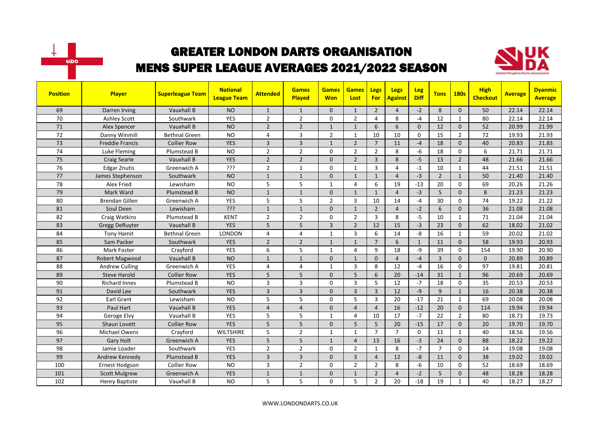



| <b>Position</b> | Player                | <b>Superleague Team</b> | <b>National</b><br><b>League Team</b> | <b>Attended</b> | <b>Games</b><br>Played | <b>Games</b><br><b>Won</b> | <b>Games</b><br>Lost | Legs<br>For    | <b>Legs</b><br><b>Against</b> | Leg<br><b>Diff</b> | <b>Tons</b>    | <b>180s</b>    | <b>High</b><br><b>Checkout</b> | <b>Average</b> | <b>Dyanmic</b><br><b>Average</b> |
|-----------------|-----------------------|-------------------------|---------------------------------------|-----------------|------------------------|----------------------------|----------------------|----------------|-------------------------------|--------------------|----------------|----------------|--------------------------------|----------------|----------------------------------|
| 69              | Darren Irving         | <b>Vauxhall B</b>       | <b>NO</b>                             | $\mathbf{1}$    | $\mathbf{1}$           | 0                          | $\mathbf{1}$         | $\overline{2}$ | $\overline{4}$                | $-2$               | 8              | $\mathbf{0}$   | 50                             | 22.14          | 22.14                            |
| 70              | <b>Ashley Scott</b>   | Southwark               | YES                                   | $\overline{2}$  | $\overline{2}$         | 0                          | $\overline{2}$       | 4              | 8                             | $-4$               | 12             | $\mathbf{1}$   | 80                             | 22.14          | 22.14                            |
| 71              | Alex Spencer          | Vauxhall B              | <b>NO</b>                             | $\overline{2}$  | $\overline{2}$         | $\mathbf{1}$               | $\mathbf{1}$         | 6              | 6                             | $\Omega$           | 12             | $\mathbf{0}$   | 52                             | 20.99          | 21.99                            |
| 72              | Danny Winmill         | <b>Bethnal Green</b>    | <b>NO</b>                             | 4               | $\overline{3}$         | $\overline{2}$             | 1                    | 10             | 10                            | $\mathbf 0$        | 15             | $\overline{2}$ | 72                             | 19.93          | 21.93                            |
| 73              | Freddie Francis       | <b>Collier Row</b>      | <b>YES</b>                            | 3               | $\overline{3}$         | $\mathbf{1}$               | $\overline{2}$       | $\overline{7}$ | 11                            | $-4$               | 18             | $\mathbf{0}$   | 40                             | 20.83          | 21.83                            |
| 74              | Luke Fleming          | Plumstead B             | <b>NO</b>                             | $\overline{2}$  | $\overline{2}$         | 0                          | $\overline{2}$       | $\overline{2}$ | 8                             | $-6$               | 18             | $\mathbf 0$    | 6                              | 21.71          | 21.71                            |
| 75              | <b>Craig Searle</b>   | <b>Vauxhall B</b>       | <b>YES</b>                            | $\overline{2}$  | $\overline{2}$         | $\Omega$                   | $\overline{2}$       | $\overline{3}$ | 8                             | $-5$               | 13             | $\overline{2}$ | 48                             | 21.66          | 21.66                            |
| 76              | <b>Edgar Znutis</b>   | Greenwich A             | ???                                   | $\overline{2}$  | $\mathbf{1}$           | $\Omega$                   | $\mathbf{1}$         | $\overline{3}$ | $\overline{4}$                | $-1$               | 10             | $\mathbf{1}$   | 44                             | 21.51          | 21.51                            |
| 77              | James Stephenson      | Southwark               | <b>NO</b>                             | $\mathbf{1}$    | $\mathbf{1}$           | 0                          | $\mathbf{1}$         | $\mathbf{1}$   | $\overline{4}$                | $-3$               | $\overline{2}$ | $\mathbf{1}$   | 50                             | 21.40          | 21.40                            |
| 78              | Alex Fried            | Lewisham                | <b>NO</b>                             | 5               | 5                      | 1                          | $\overline{4}$       | 6              | 19                            | $-13$              | 20             | $\mathbf 0$    | 69                             | 20.26          | 21.26                            |
| 79              | Mark Ward             | Plumstead B             | <b>NO</b>                             | $\mathbf{1}$    | $\mathbf{1}$           | 0                          | $\mathbf{1}$         | $\mathbf{1}$   | $\overline{4}$                | $-3$               | 5              | $\Omega$       | 8                              | 21.23          | 21.23                            |
| 80              | <b>Brendan Gillen</b> | Greenwich A             | <b>YES</b>                            | 5               | 5                      | $\overline{2}$             | $\overline{3}$       | 10             | 14                            | $-4$               | 30             | $\Omega$       | 74                             | 19.22          | 21.22                            |
| 81              | Soul Deen             | Lewisham                | ???                                   | $\mathbf{1}$    | $\overline{1}$         | $\Omega$                   | $\mathbf{1}$         | $\overline{2}$ | $\overline{a}$                | $-2$               | 6              | $\Omega$       | 36                             | 21.08          | 21.08                            |
| 82              | Craig Watkins         | Plumstead B             | <b>KENT</b>                           | $\overline{2}$  | $\overline{2}$         | $\Omega$                   | $\overline{2}$       | $\overline{3}$ | 8                             | $-5$               | 10             | $\mathbf{1}$   | 71                             | 21.04          | 21.04                            |
| 83              | <b>Gregg DeRuyter</b> | Vauxhall B              | <b>YES</b>                            | 5               | 5                      | 3                          | $\overline{2}$       | 12             | 15                            | $-3$               | 23             | $\mathbf{0}$   | 62                             | 18.02          | 21.02                            |
| 84              | <b>Tony Hamit</b>     | <b>Bethnal Green</b>    | LONDON                                | 4               | $\overline{4}$         | 1                          | 3                    | 6              | 14                            | -8                 | 16             | $\mathbf{1}$   | 59                             | 20.02          | 21.02                            |
| 85              | Sam Packer            | Southwark               | <b>YES</b>                            | $\overline{2}$  | $\overline{2}$         | $\mathbf{1}$               | $\mathbf{1}$         | $\overline{7}$ | 6                             | $\mathbf{1}$       | 11             | $\mathbf{0}$   | 58                             | 19.93          | 20.93                            |
| 86              | Mark Foster           | Crayford                | YES                                   | 6               | 5                      | 1                          | 4                    | 9              | 18                            | -9                 | 39             | $\mathbf{0}$   | 154                            | 19.90          | 20.90                            |
| 87              | Robert Magwood        | Vauxhall B              | <b>NO</b>                             | $\mathbf{1}$    | $\mathbf{1}$           | $\Omega$                   | $\mathbf{1}$         | $\mathbf{0}$   | $\overline{4}$                | $-4$               | $\overline{3}$ | $\mathbf{0}$   | $\Omega$                       | 20.89          | 20.89                            |
| 88              | <b>Andrew Culling</b> | Greenwich A             | <b>YES</b>                            | 4               | $\overline{4}$         | $\mathbf{1}$               | 3                    | 8              | 12                            | $-4$               | 16             | $\mathbf 0$    | 97                             | 19.81          | 20.81                            |
| 89              | <b>Steve Harold</b>   | <b>Collier Row</b>      | <b>YES</b>                            | 5               | 5                      | 0                          | 5                    | 6              | 20                            | $-14$              | 31             | $\mathbf{1}$   | 96                             | 20.69          | 20.69                            |
| 90              | <b>Richard Innes</b>  | Plumstead B             | <b>NO</b>                             | 3               | $\overline{3}$         | $\Omega$                   | 3                    | 5              | 12                            | $-7$               | 18             | $\mathbf 0$    | 35                             | 20.53          | 20.53                            |
| 91              | David Lee             | Southwark               | <b>YES</b>                            | $\overline{3}$  | $\overline{3}$         | $\Omega$                   | $\overline{3}$       | $\overline{3}$ | 12                            | $-9$               | 9              | $\mathbf{1}$   | 16                             | 20.38          | 20.38                            |
| 92              | Earl Grant            | Lewisham                | <b>NO</b>                             | 5               | 5                      | $\Omega$                   | 5                    | 3              | 20                            | $-17$              | 21             | $\mathbf{1}$   | 69                             | 20.08          | 20.08                            |
| 93              | <b>Paul Hart</b>      | <b>Vauxhall B</b>       | <b>YES</b>                            | $\overline{4}$  | $\overline{4}$         | $\Omega$                   | $\overline{4}$       | $\overline{4}$ | 16                            | $-12$              | 20             | $\Omega$       | 114                            | 19.94          | 19.94                            |
| 94              | Geroge Elvy           | Vauxhall B              | YES                                   | 5               | 5                      | $\mathbf{1}$               | 4                    | 10             | 17                            | $-7$               | 22             | $\overline{2}$ | 80                             | 18.73          | 19.73                            |
| 95              | Shaun Lovett          | <b>Collier Row</b>      | <b>YES</b>                            | 5               | 5                      | 0                          | 5                    | 5              | 20                            | $-15$              | 17             | $\mathbf{0}$   | 20                             | 19.70          | 19.70                            |
| 96              | <b>Michael Owens</b>  | Crayford                | <b>WILTSHIRE</b>                      | 5               | $\overline{2}$         | $\mathbf{1}$               | $\mathbf{1}$         | $\overline{7}$ | $\overline{7}$                | $\mathbf 0$        | 11             | $\mathbf{1}$   | 40                             | 18.56          | 19.56                            |
| 97              | <b>Gary Holt</b>      | Greenwich A             | <b>YES</b>                            | 5               | 5                      | $\mathbf{1}$               | $\overline{4}$       | 13             | 16                            | $-3$               | 24             | $\Omega$       | 88                             | 18.22          | 19.22                            |
| 98              | Jamie Loader          | Southwark               | <b>YES</b>                            | $\overline{2}$  | $\overline{2}$         | $\Omega$                   | $\overline{2}$       | $\mathbf{1}$   | 8                             | $-7$               | $\overline{7}$ | $\mathbf{0}$   | 14                             | 19.08          | 19.08                            |
| 99              | Andrew Kennedy        | Plumstead B             | <b>YES</b>                            | 3               | $\overline{3}$         | 0                          | 3                    | $\overline{4}$ | 12                            | $-8$               | 11             | $\mathbf{0}$   | 38                             | 19.02          | 19.02                            |
| 100             | Ernest Hodgson        | <b>Collier Row</b>      | <b>NO</b>                             | 3               | $\overline{2}$         | 0                          | $\overline{2}$       | $\overline{2}$ | 8                             | -6                 | 10             | $\mathbf 0$    | 52                             | 18.69          | 18.69                            |
| 101             | <b>Scott Mulgrew</b>  | Greenwich A             | <b>YES</b>                            | $\mathbf{1}$    | $\overline{1}$         | $\Omega$                   | $\mathbf{1}$         | 2              | $\overline{4}$                | $-2$               | 5              | $\mathbf{0}$   | 48                             | 18.28          | 18.28                            |
| 102             | <b>Henry Baptiste</b> | Vauxhall B              | <b>NO</b>                             | 5               | 5                      | $\Omega$                   | 5                    | $\overline{2}$ | 20                            | $-18$              | 19             | $\mathbf{1}$   | 40                             | 18.27          | 18.27                            |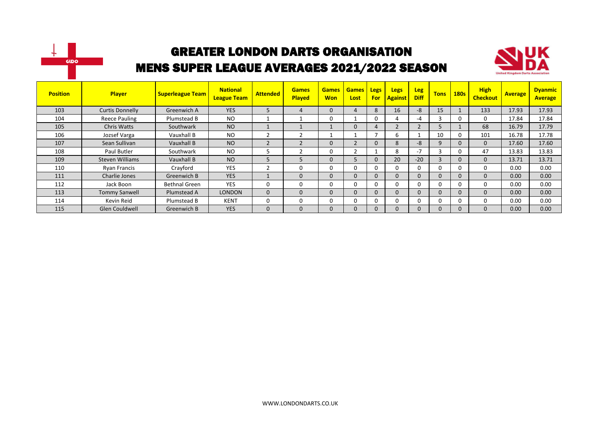



| <b>Position</b> | Player                 | <b>Superleague Team</b> | <b>National</b><br><b>League Team</b> | <b>Attended</b> | <b>Games</b><br><b>Played</b> | <b>Games</b><br><b>Won</b> | <b>Games</b><br>Lost | <b>Legs</b><br>For | <b>Legs</b><br><b>Against</b> | <b>Leg</b><br><b>Diff</b> | <b>Tons</b>  | <b>180s</b>  | <b>High</b><br><b>Checkout</b> | <b>Average</b> | <b>Dyanmic</b><br><b>Average</b> |
|-----------------|------------------------|-------------------------|---------------------------------------|-----------------|-------------------------------|----------------------------|----------------------|--------------------|-------------------------------|---------------------------|--------------|--------------|--------------------------------|----------------|----------------------------------|
| 103             | <b>Curtis Donnelly</b> | Greenwich A             | <b>YES</b>                            | 5               | 4                             | 0                          | 4                    | 8                  | 16                            | $-8$                      | 15           |              | 133                            | 17.93          | 17.93                            |
| 104             | Reece Pauling          | Plumstead B             | <b>NO</b>                             |                 |                               | 0                          |                      | 0                  | Д                             | -4                        |              | 0            | 0                              | 17.84          | 17.84                            |
| 105             | <b>Chris Watts</b>     | Southwark               | <b>NO</b>                             |                 |                               |                            | $\mathbf{0}$         | 4                  |                               |                           | ь            |              | 68                             | 16.79          | 17.79                            |
| 106             | Jozsef Varga           | Vauxhall B              | <b>NO</b>                             |                 |                               |                            |                      |                    | b                             |                           | 10           | $\mathbf{0}$ | 101                            | 16.78          | 17.78                            |
| 107             | Sean Sullivan          | Vauxhall B              | <b>NO</b>                             | $\mathfrak{D}$  | $\overline{\phantom{0}}$      | 0                          | h                    | $\Omega$           | 8                             | -8                        | 9            | $\Omega$     | 0                              | 17.60          | 17.60                            |
| 108             | Paul Butler            | Southwark               | <b>NO</b>                             |                 |                               | 0                          |                      |                    | 8                             | -7                        | З            | 0            | 47                             | 13.83          | 13.83                            |
| 109             | <b>Steven Williams</b> | Vauxhall B              | <b>NO</b>                             | 5               | 5                             | 0                          | 5                    | $\Omega$           | 20                            | $-20$                     | 3            | $\Omega$     | $\Omega$                       | 13.71          | 13.71                            |
| 110             | Ryan Francis           | Crayford                | <b>YES</b>                            | $\overline{2}$  | 0                             | 0                          | U                    | $\Omega$           | O                             | 0                         | 0            | 0            | 0                              | 0.00           | 0.00                             |
| 111             | Charlie Jones          | Greenwich B             | <b>YES</b>                            |                 | $\Omega$                      | $\mathbf{0}$               | $\Omega$             | $\mathbf 0$        | 0                             | $\Omega$                  | $\Omega$     | $\Omega$     | 0                              | 0.00           | 0.00                             |
| 112             | Jack Boon              | Bethnal Green           | <b>YES</b>                            | $\Omega$        | $\Omega$                      | 0                          | 0                    | $\Omega$           | $\Omega$                      | 0                         | <sup>0</sup> | 0            | 0                              | 0.00           | 0.00                             |
| 113             | <b>Tommy Sanwell</b>   | Plumstead A             | <b>LONDON</b>                         | $\mathbf{0}$    | $\Omega$                      | 0                          | $\mathbf{0}$         | $\mathbf 0$        | 0                             | $\Omega$                  | $\Omega$     | $\Omega$     | 0                              | 0.00           | 0.00                             |
| 114             | Kevin Reid             | Plumstead B             | <b>KENT</b>                           | 0               | $\Omega$                      | 0                          | 0                    | $\Omega$           | 0                             | 0                         | 0            | 0            | 0                              | 0.00           | 0.00                             |
| 115             | <b>Glen Couldwell</b>  | Greenwich B             | <b>YES</b>                            | $\Omega$        | $\Omega$                      | 0                          | $\Omega$             | $\Omega$           | 0                             | $\Omega$                  | $\Omega$     | $\Omega$     | $\Omega$                       | 0.00           | 0.00 <sub>1</sub>                |